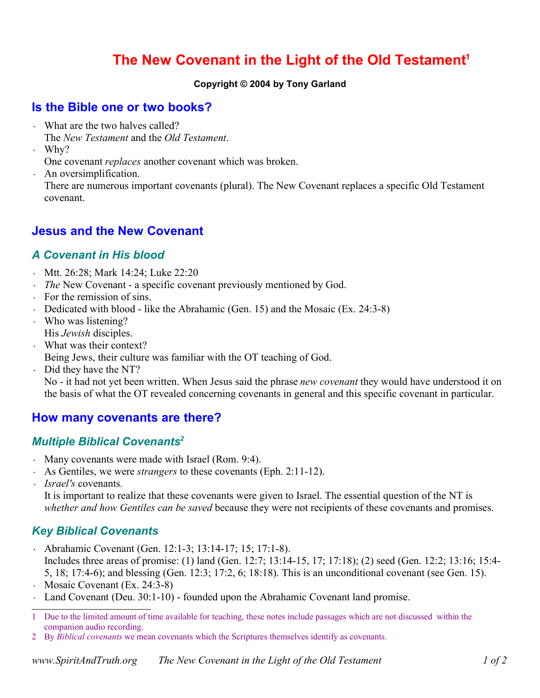# **The New Covenant in the Light of the Old Testament 1**

#### **Copyright © 2004 by Tony Garland**

### **Is the Bible one or two books?**

- What are the two halves called? The *New Testament* and the *Old Testament*.
- Why?

One covenant *replaces* another covenant which was broken.

• An oversimplification. There are numerous important covenants (plural). The New Covenant replaces a specific Old Testament covenant.

# **Jesus and the New Covenant**

#### *A Covenant in His blood*

- Mtt. 26:28; Mark 14:24; Luke 22:20
- *The* New Covenant a specific covenant previously mentioned by God.
- For the remission of sins.
- Dedicated with blood like the Abrahamic (Gen. 15) and the Mosaic (Ex. 24:3-8)
- Who was listening? His *Jewish* disciples.
- What was their context?
- Being Jews, their culture was familiar with the OT teaching of God.
- Did they have the NT?

No - it had not yet been written. When Jesus said the phrase *new covenant* they would have understood it on the basis of what the OT revealed concerning covenants in general and this specific covenant in particular.

# **How many covenants are there?**

#### *Multiple Biblical Covenants 2*

- Many covenants were made with Israel (Rom. 9:4).
- As Gentiles, we were *strangers* to these covenants (Eph. 2:11-12).
- *• Israel's* covenants*.*

It is important to realize that these covenants were given to Israel. The essential question of the NT is *whether and how Gentiles can be saved* because they were not recipients of these covenants and promises.

# *Key Biblical Covenants*

- Abrahamic Covenant (Gen. 12:1-3; 13:14-17; 15; 17:1-8). Includes three areas of promise: (1) land (Gen. 12:7; 13:14-15, 17; 17:18); (2) seed (Gen. 12:2; 13:16; 15:4- 5, 18; 17:4-6); and blessing (Gen. 12:3; 17:2, 6; 18:18). This is an unconditional covenant (see Gen. 15).
- Mosaic Covenant (Ex. 24:3-8)
- Land Covenant (Deu. 30:1-10) founded upon the Abrahamic Covenant land promise.

<sup>1</sup> Due to the limited amount of time available for teaching, these notes include passages which are not discussed within the companion audio recording.

<sup>2</sup> By *Biblical covenants* we mean covenants which the Scriptures themselves identify as covenants.